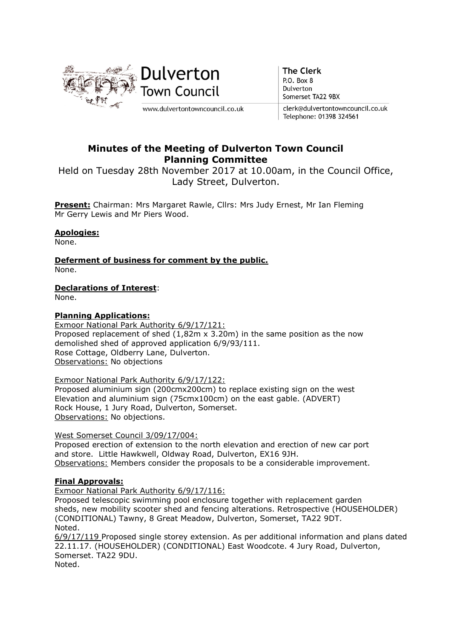

**The Clerk** P.O. Box 8 Dulverton Somerset TA22 9BX

clerk@dulvertontowncouncil.co.uk Telephone: 01398 324561

# Minutes of the Meeting of Dulverton Town Council Planning Committee

Held on Tuesday 28th November 2017 at 10.00am, in the Council Office, Lady Street, Dulverton.

Present: Chairman: Mrs Margaret Rawle, Cllrs: Mrs Judy Ernest, Mr Ian Fleming Mr Gerry Lewis and Mr Piers Wood.

## Apologies:

None.

Deferment of business for comment by the public. None.

## Declarations of Interest:

None.

### Planning Applications:

Exmoor National Park Authority 6/9/17/121: Proposed replacement of shed (1,82m x 3.20m) in the same position as the now demolished shed of approved application 6/9/93/111. Rose Cottage, Oldberry Lane, Dulverton. Observations: No objections

Exmoor National Park Authority 6/9/17/122:

Proposed aluminium sign (200cmx200cm) to replace existing sign on the west Elevation and aluminium sign (75cmx100cm) on the east gable. (ADVERT) Rock House, 1 Jury Road, Dulverton, Somerset. Observations: No objections.

### West Somerset Council 3/09/17/004:

Proposed erection of extension to the north elevation and erection of new car port and store. Little Hawkwell, Oldway Road, Dulverton, EX16 9JH. Observations: Members consider the proposals to be a considerable improvement.

### Final Approvals:

Exmoor National Park Authority 6/9/17/116:

Proposed telescopic swimming pool enclosure together with replacement garden sheds, new mobility scooter shed and fencing alterations. Retrospective (HOUSEHOLDER) (CONDITIONAL) Tawny, 8 Great Meadow, Dulverton, Somerset, TA22 9DT. Noted.

6/9/17/119 Proposed single storey extension. As per additional information and plans dated 22.11.17. (HOUSEHOLDER) (CONDITIONAL) East Woodcote. 4 Jury Road, Dulverton, Somerset. TA22 9DU. Noted.